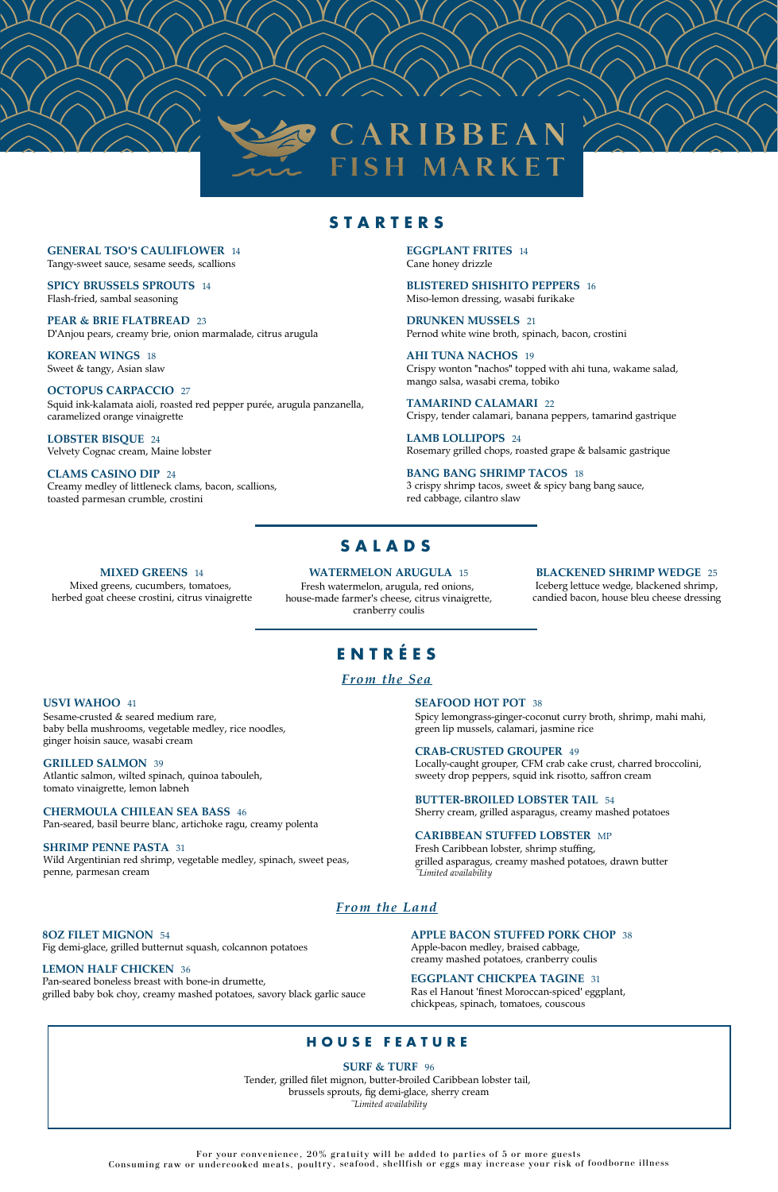#### **GENERAL TSO'S CAULIFLOWER** 14

Tangy-sweet sauce, sesame seeds, scallions

**SPICY BRUSSELS SPROUTS** 14 Flash-fried, sambal seasoning

**PEAR & BRIE FLATBREAD** 23 D'Anjou pears, creamy brie, onion marmalade, citrus arugula

**KOREAN WINGS** 18 Sweet & tangy, Asian slaw

#### **OCTOPUS CARPACCIO** 27

Squid ink-kalamata aioli, roasted red pepper purée, arugula panzanella, caramelized orange vinaigrette

**LOBSTER BISQUE** 24 Velvety Cognac cream, Maine lobster

**CLAMS CASINO DIP** 24 Creamy medley of littleneck clams, bacon, scallions, toasted parmesan crumble, crostini

# **S A L A D S**

#### **MIXED GREENS** 14

Mixed greens, cucumbers, tomatoes, herbed goat cheese crostini, citrus vinaigrette

# **E N T R É E S**

### *From the Sea*

#### **USVI WAHOO** 41

Sesame-crusted & seared medium rare, baby bella mushrooms, vegetable medley, rice noodles, ginger hoisin sauce, wasabi cream

#### **GRILLED SALMON** 39

Atlantic salmon, wilted spinach, quinoa tabouleh, tomato vinaigrette, lemon labneh

#### **CHERMOULA CHILEAN SEA BASS** 46

Pan-seared, basil beurre blanc, artichoke ragu, creamy polenta

#### **SHRIMP PENNE PASTA** 31

Wild Argentinian red shrimp, vegetable medley, spinach, sweet peas,

penne, parmesan cream

## *From the Land*

#### **8OZ FILET MIGNON** 54

Fig demi-glace, grilled butternut squash, colcannon potatoes

#### **LEMON HALF CHICKEN** 36

Pan-seared boneless breast with bone-in drumette, grilled baby bok choy, creamy mashed potatoes, savory black garlic sauce

> For your convenience, 20% gratuity will be added to parties of 5 or more guests Consuming raw or undercooked meats, poultry, seafood, shellfish or eggs may increase your risk of foodborne illness



## **S T A R T E R S**

**EGGPLANT FRITES** 14 Cane honey drizzle

**BLISTERED SHISHITO PEPPERS** 16 Miso-lemon dressing, wasabi furikake

**DRUNKEN MUSSELS** 21 Pernod white wine broth, spinach, bacon, crostini

**AHI TUNA NACHOS** 19 Crispy wonton "nachos" topped with ahi tuna, wakame salad, mango salsa, wasabi crema, tobiko

**TAMARIND CALAMARI** 22 Crispy, tender calamari, banana peppers, tamarind gastrique

**LAMB LOLLIPOPS** 24 Rosemary grilled chops, roasted grape & balsamic gastrique

#### **BANG BANG SHRIMP TACOS** 18 3 crispy shrimp tacos, sweet & spicy bang bang sauce, red cabbage, cilantro slaw

**WATERMELON ARUGULA** 15 Fresh watermelon, arugula, red onions, house-made farmer's cheese, citrus vinaigrette, cranberry coulis

#### **BLACKENED SHRIMP WEDGE** 25

Iceberg lettuce wedge, blackened shrimp, candied bacon, house bleu cheese dressing

#### **SURF & TURF** 96

Tender, grilled filet mignon, butter-broiled Caribbean lobster tail, brussels sprouts, fig demi-glace, sherry cream *~Limited availability*

#### **SEAFOOD HOT POT** 38

Spicy lemongrass-ginger-coconut curry broth, shrimp, mahi mahi, green lip mussels, calamari, jasmine rice

#### **CRAB-CRUSTED GROUPER** 49

Locally-caught grouper, CFM crab cake crust, charred broccolini, sweety drop peppers, squid ink risotto, saffron cream

#### **BUTTER-BROILED LOBSTER TAIL** 54

Sherry cream, grilled asparagus, creamy mashed potatoes

#### **CARIBBEAN STUFFED LOBSTER** MP

Fresh Caribbean lobster, shrimp stuffing, grilled asparagus, creamy mashed potatoes, drawn butter

*~Limited availability*

#### **APPLE BACON STUFFED PORK CHOP** 38

Apple-bacon medley, braised cabbage, creamy mashed potatoes, cranberry coulis

#### **EGGPLANT CHICKPEA TAGINE** 31

Ras el Hanout 'finest Moroccan-spiced' eggplant, chickpeas, spinach, tomatoes, couscous

## **H O U S E F E A T U R E**